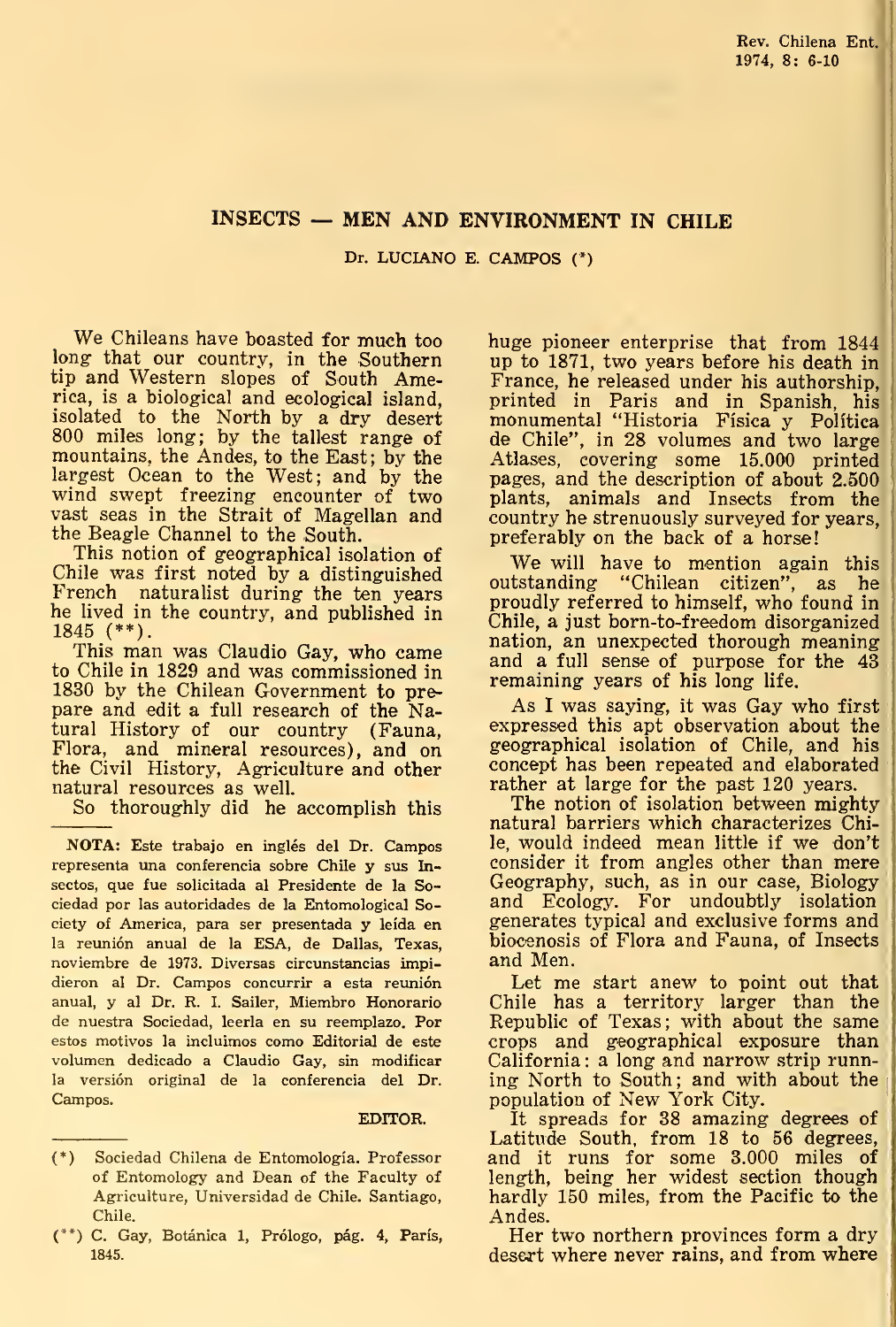## INSECTS — MEN AND ENVIRONMENT IN CHILE

Dr. LUCIANO E. CAMPOS (\*)

We Chileans have boasted for much too long that our country, in the Southern tip and Western slopes of South America, is a biological and ecological island, isolated to the North by a dry desert 800 miles long; by the tallest range of mountains, the Andes, to the East; by the largest Ocean to the West; and by the wind swept freezing encounter of two vast seas in the Strait of Magellan and the Beagle Channel to the South.

This notion of geographical isolation of Chile was first noted by a distinguished French naturalist during the ten years he lived in the countiy, and published in 1845 (\*\*).

This man was Claudio Gay, who came to Chile in 1829 and was commissioned in 1830 by the Chilean Government to prepare and edit a full research of the Natural History of our country (Fauna, Flora, and mineral resources), and on the Civil History, Agriculture and other natural resources as well.

So thoroughly did he accomplish this

NOTA: Este trabajo en inglés del Dr. Campos representa una conferencia sobre Chile y sus Insectos, que fue solicitada al Presidente de la Sociedad por las autoridades de la Entomological Society of America, para ser presentada y leída en la reunión anual de la ESA, de Dallas, Texas, noviembre de 1973. Diversas circunstancias impidieron al Dr. Campos concurrir a esta reunión anual, y al Dr. R. I. Sailer, Miembro Honorario de nuestra Sociedad, leerla en su reemplazo. Por estos motivos la incluimos como Editorial de este volumen dedicado a Claudio Gay, sin modificar la versión original de la conferencia del Dr. Campos.

## EDITOR.

huge pioneer enterprise that from 1844 up to 1871, two years before his death in France, he released under his authorship,^ printed in Paris and in Spanish, his monumental "Historia Física y Política de Chile", in 28 volumes and two large Atlases, covering some 15.000 printed pages, and the description of about 2.500 plants, animáis and Insects from the country he strenuously surveyed for years, preferably on the back of a horse!

We will have to mention again this outstanding "Chilean citizen", as he proudly referred to himself, who found in Chile, a just born-to-freedom disorganized nation, an unexpected thorough meaning and a full sense of purpose for the 43 remaining years of his long life.

As <sup>I</sup> was saying, it was Gay who first expressed this apt observation about the geographical isolation of Chile, and his concept has been repeated and elaborated rather at large for the past 120 years.

The notion of isolation between mighty natural barriers which characterizes Chile, would indeed mean little if we don't consider it from angles other than mere Geography, such, as in our case, Biology and Ecology. For undoubtly isolation generates typical and exclusive forms and biocenosis of Flora and Fauna, of Insects and Men.

Let me start anew to point out that Chile has a territory larger than the Republic of Texas; with about the same crops and geographical exposure than California : a long and narrow strip running North to South; and with about the population of New York City.

It spreads for 38 amazing degrees of Latitude South, from 18 to 56 degrees, and it runs for some 3.000 miles of length, being her widest section though hardly 150 miles, from the Pacific to the Andes.

Her two northern provinces form a dry desert where never rains, and from where

<sup>(\*)</sup> Sociedad Chilena de Entomología. Professor of Entomology and Dean of the Faculty of Agriculture, Universidad de Chile. Santiago, Chile.

<sup>(\*\*)</sup> C. Gay, Botánica 1, Prólogo, pág. 4, París, 1845.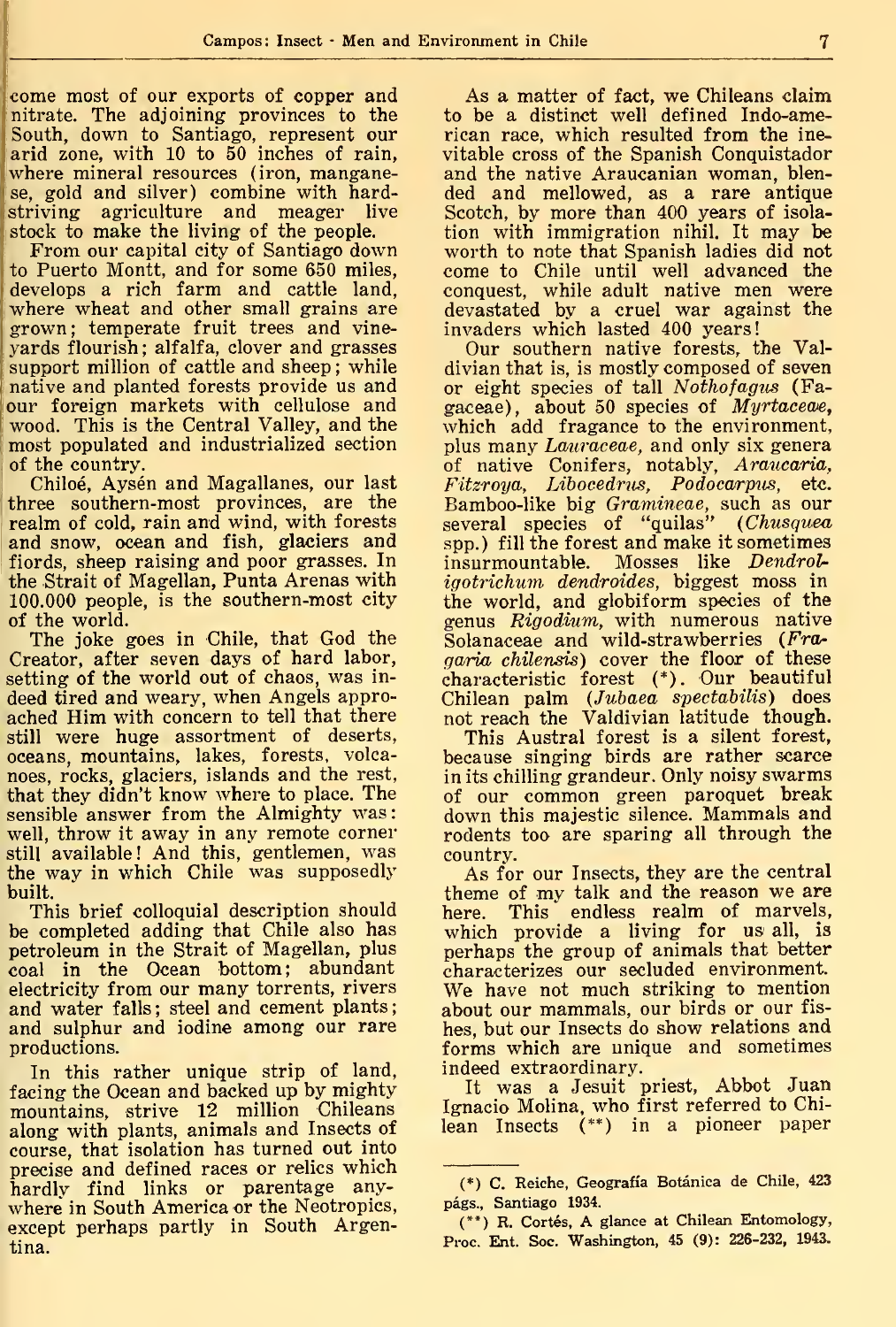come most of our exports of copper and nitrate. The adjoining provinces to the South, down to Santiago, represent our arid zone, with 10 to 50 inches of rain, where mineral resources (iron, manganese, gold and silver) combine with hardstriving agriculture and meager live stock to make the living of the people.

IFrom our capital city of Santiago down to Puerto Montt, and for some 650 miles, ! develops a rich farm and cattle land, where wheat and other small grains are grown; températe fruit trees and vineyards flourish ; alfalfa, clover and grasses support million of cattle and sheep ; while native and planted forests provide us and our foreign markets with cellulose and wood. This is the Central Valley, and the most populated and industrialized section of the country.

Chiloé, Aysén and Magallanes, our last three southern-most provinces, are the realm of cold, rain and wind, with forests and snow, ocean and fish, glaciers and fiords, sheep raising and poor grasses. In the Strait of Magellan, Punta Arenas with 100.000 people, is the southern-most city of the world.

The joke goes in Chile, that God the Creator, after seven days of hard labor, setting of the world out of chaos, was in deed tired and weary, when Angels approached Him with concern to tell that there still were huge assortment of deserts, oceans, mountains, lakes, forests, volcanoes, rocks, glaciers, islands and the rest, that they didn't know where to place. The sensible answer from the Almighty was: well, throw it away in any remote corner still available! And this, gentlemen, was the way in which Chile was supposedly built.

This brief colloquial description should be completed adding that Chile also has petroleum in the Strait of Magellan, plus coal in the Ocean bottom; abundant electricity from our many torrents, rivers and water falls; steel and cement plants; and sulphur and iodine among our rare productions.

In this rather unique strip of land, <sup>f</sup>acing the Ocean and backed up by mighty mountains, strive 12 million Chileans along with plants, animals and Insects of course, that isolation has turned out into precise and defined races or relies which hardly find links or parentage anywhere in South America or the Neotropics, except perhaps partly in South Argentina.

As a matter of fact, we Chileans claim to be a distinct well defined Indo-american race, which resulted from the inevitable cross of the Spanish Conquistador and the native Araucanian woman, blended and mellowed, as a rare antique Scotch, by more than 400 years of isolation with immigration nihil. It may be worth to note that Spanish ladies did not come to Chile until well advanced the conquest, while adult native men were devastated by a cruel war against the invaders which lasted 400 years!

Our Southern native forests, the Valdivian that is, is mostly composed of seven or eight species of tall Nothofagus (Fagaceae), about 50 species of Myrtaceae, which add fragance to the environment, plus many *Lauraceae*, and only six genera of native Conifers, notably, A*raucaria*, Fitzroya, Libocedrus, Podocarpus, e**tc.** . Bamboo-like big Gramineae, such as our several species of "quilas" (Chusquea spp.) fill the forest and make it sometimes insurmountable. Mosses like Dendroligotrichum dendroides, biggest moss in the world, and globiform species of the genus Rigodium, with numerous native Solanaceae and wild-strawberries (Fragaria chilensis) cover the floor of these characteristic forest (\*). Our beautiful Chilean palm {Jubaea spectabilis) does not reach the Valdivian latitude though.

This Austral forest is a silent forest, because singing birds are rather scarce in its chilling grandeur. Only noisy swarms of our common green paroquet break down this majestic silence. Mammals and rodents too are sparing all through the country.

As for our Insects, they are the central theme of my talk and the reason we are here. This endless realm of marvels, which provide a living for us all, is perhaps the group of animals that better characterizes our secluded environment. We have not much striking to mention about our mammals, our birds or our fis hes, but our Insects do show relations and forms which are unique and sometimes indeed extraordinary.

It was a Jesuit priest, Abbot Juan Ignacio Molina, who first referred to Chilean Insects (\*\*) in a pioneer paper

<sup>(\*)</sup> C. Reiche, Geografía Botánica de Chile, 423 págs., Santiago 1934.

<sup>(\*\*)</sup> R. Cortés, A glance at Chilean Entomology, Proc. Ent. Soc. Washington, 45 (9): 226-232, 1943.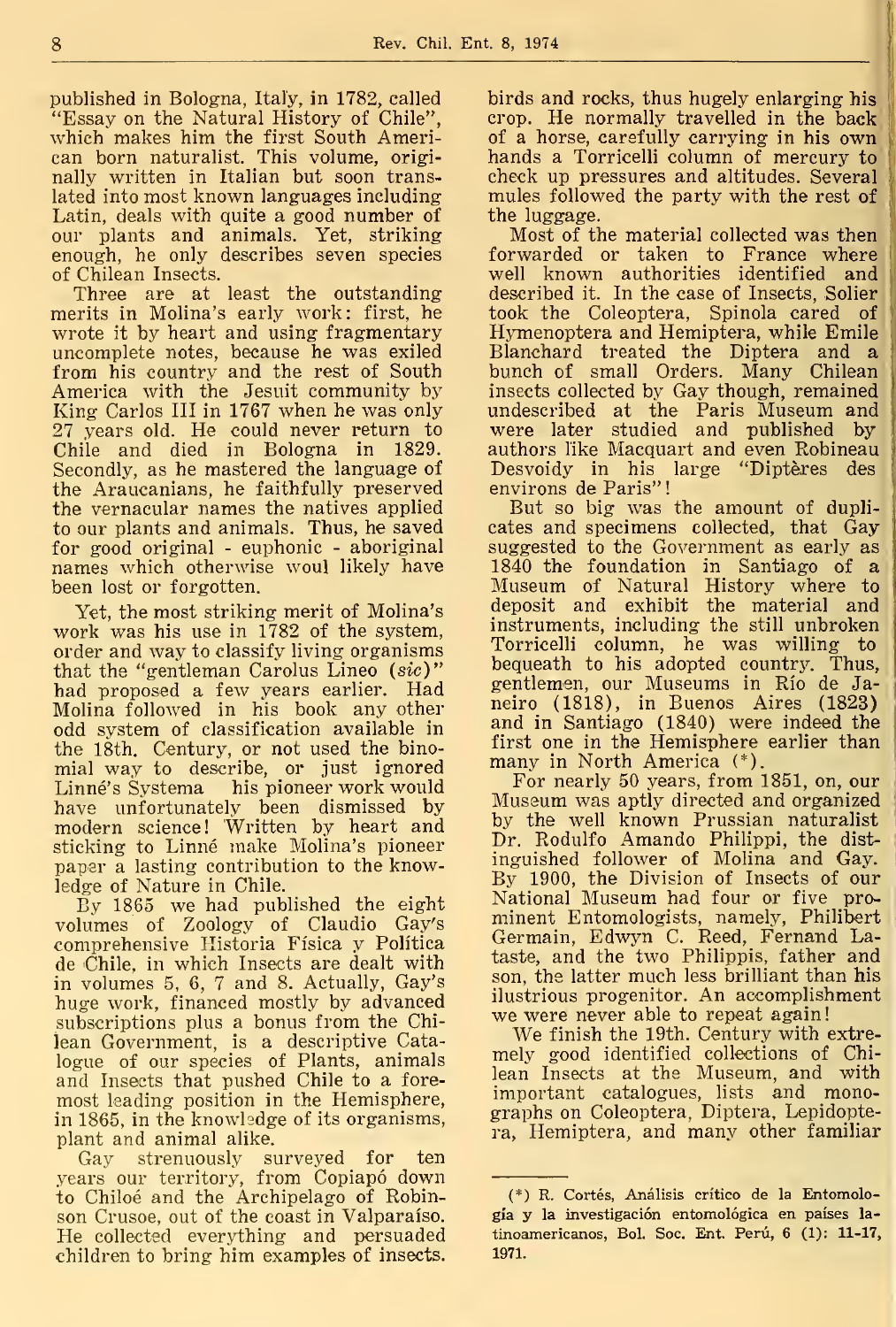published in Bologna, Ital'y, in 1782, called "Essay on the Natural History of Chile", which makes him the first South American born naturalist. This volume, originally written in Italian but soon translated into most known languages including Latin, deals with quite a good number of our plants and animals. Yet, striking enough, he only describes seven species of Chilean Insects.

Three are at least the outstanding merits in Molina's early work: first, he wrote it by heart and using fragmentary uncomplete notes, because he was exiled from his country and the rest of South America with the Jesuit community by King Carlos III in 1767 when he was only 27 years old. He could never return to Chile and died in Bologna in 1829. Secondly, as he mastered the language of the Araucanians, he faithfully preserved the vernacular ñames the natives applied to our plants and animals. Thus, he saved for good original - euphonic - aboriginal names which otherwise woul likely have been lost or forgotten.

Yet, the most striking merit of Molina's work was his use in 1782 of the system, order and way to classify living organisms that the "gentleman Carolus Lineo (sic)" had proposed a few years earlier. Had Molina followed in his book any other odd system of classification available in the 18th. Century, or not used the binomial way to describe, or just ignored Linné's Systema his pioneer work would have unfortunately been dismissed by modern science! Written by heart and sticking to Linné make Molina's pioneer papar a lasting contribution to the knowledge of Nature in Chile.

By 1865 we had published the eight volumes of Zoology of Claudio Gay's comprehensive Historia Física y Política de Chile, in which Insects are dealt with in volumes 5, 6, 7 and 8. Actually, Gay's huge work, financed mostly by advanced subscriptions plus a bonus from the Chilean Government, is a descriptive Catalogue of our species of Plants, animals and Insects that pushed Chile to a foremost leading position in the Hemisphere, in 1865, in the knowledge of its organisms, plant and animal alike.

Gay strenuously surveyed for ten years our territory, from Copiapó down to Chiloé and the Archipelago of Robinson Crusoe, out of the coast in Valparaíso. He collected everything and persuaded children to bring him examples of insects.

birds and rocks, thus hugely enlarging his crop. He normally travelled in the back of a horse, carefully carrying in his own hands a Torricelli column of mercury to check up pressures and altitudes. Several mules followed the party with the rest of the luggage.

Most of the material collected was then forwarded or taken to France where well known authorities identified and  $\parallel$ described it. In the case of Insects, Solier took the Coleoptera, Spinola cared of Hymenoptera and Hemiptera, while Emile Blanchard treated the Díptera and a bunch of small Orders. Many Chilean insects collected by Gay though, remained undescribed at the París Museum and were later studied and published by authors like Macquart and even Robíneau Desvoidy in his large "Diptères des envírons de Paris"

But so big was the amount of duplicates and specimens collected, that Gay suggested to the Government as early as <sup>1840</sup> the foundation in Santiago of <sup>a</sup> Museum of Natural History where to deposit and exhibit the material and instruments, including the still unbroken Torricelli column, he was willing to bequeath to his adopted country. Thus, gentlemen, our Museums in Río de Janeiro (1818), in Buenos Aires (1823) and in Santiago (1840) were indeed the first one in the Hemisphere earlier than

many in North America (\*).<br>For nearly 50 years, from 1851, on, our Museum was aptly directed and organized by the well known Prussian naturalist Dr. Rodulfo Amando Philippi, the distinguished follower of Molina and Gay. By 1900, the Division of Insects of our National Museum had four or five prominent Entomologists, namely, Philibert Germaín, Edwyn C. Reed, Fernand Lataste, and the two Philippis, father and son, the latter much less brilliant than his ilustrious progenitor. An accomplishment we were never able to repeat again

We finish the 19th. Century with extre mely good identified collections of Chilean Insects at the Museum, and with important catalogues, lists and monographs on Coleoptera, Diptera, Lepidoptera, Hemiptera, and many other familiar

<sup>(\*)</sup> R. Cortés, Análisis crítico de la Entomología y la investigación entomológica en países la tinoamericanos, Bol. Soc. Ent. Perú, 6 (1): 11-17, 1971.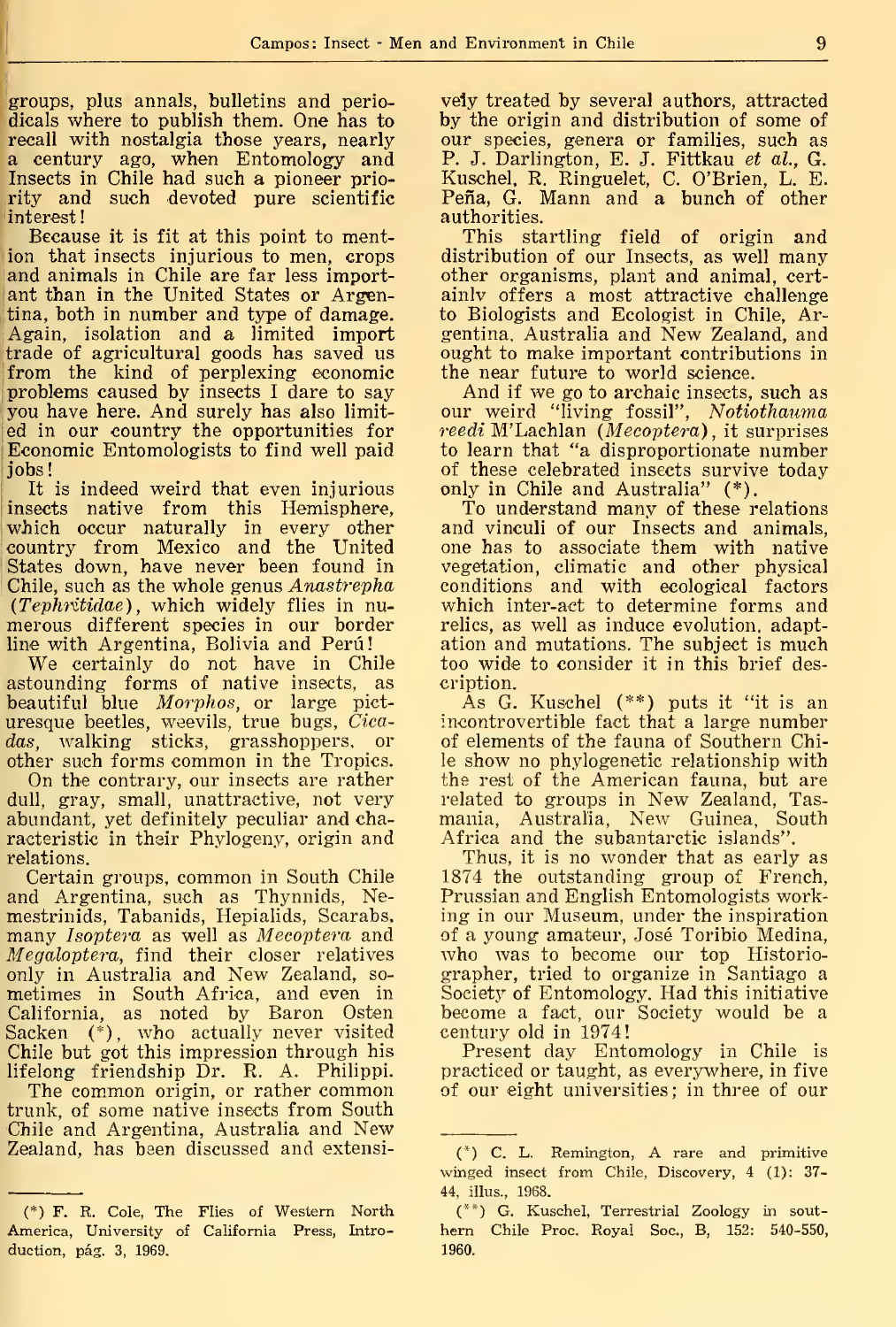groups, plus annals, bulletins and periodicals where to publish them. One has to recall with nostalgia those years, nearly a century ago, when Entomology and Insects in Chile had such a pioneer priority and such devoted pure scientific Ínterest!

Because it is fit at this point to mention that insects injurious to men, crops and animals in Chile are far less important than in the United States or Argentina, both in number and type of damage. Again, isolation and a limited import trade of agricultural goods has saved us from the kind of perplexing economic problems caused by insects <sup>I</sup> daré to say you have here. And surely has also limited in our country the opportunities for Economic Entomologists to find well paid Jobs!

It is indeed weird that even injurious insects native from this Hemisphere, which occur naturally in every other country from México and the United States down, have never been found in Chile, such as the whole genus Anastrepha (Tephritidae) , which widely flies in nu merous different species in our border line with Argentina, Bolivia and Perú

We certainly do not have in Chile astounding forms of native insects, as beautiful blue Morphos, or large picturesque beetles, weevils, true bugs, Cicadas, walking sticks, grasshoppers, or other such forms common in the Tropics.

On the contrary, our insects are rather dull, gray, small, unattractive, not very abundant, yet definitely peculiar and characteristic in their Phylogeny, origin and relations.

Certain groups, common in South Chile and Argentina, such as Thynnids, Nemestrinids, Tabanids, Hepialids, Scarabs, many Isoptera as well as Mecoptera and Megaloptera, find their closer relatives only in Australia and New Zealand, so metimes in South África, and even in California, as noted by Baron Osten Sacken (\*), who actually never visited Chile but got this impression through his lifelong friendship Dr. R. A. Philippi.

The common origin, or rather common trunk, of some native insects from South Chile and Argentina, Australia and New Zealand, has been discussed and extensi-

vely treated by several authors, attracted by the origin and distribution of some of our species, genera or families, such as P. J. Darlington, E. J. Fittkau *et al.*, G. Kuschel, R. Ringuelet, C. O'Brien, L. E. Peña, G. Mann and a bunch of other authorities.

This startling field of origin and distribution of our Insects, as well many other organisms, plant and animal, cert ainlv offers a most attractive challenge to Biologists and Ecologist in Chile, Argentina, Australia and New Zealand, and ought to make important contributions in the near future to world science.

And if we go to archaic insects, such as our weird "living fossil", Notiothauma  $\textit{readi}$  M'Lachlan (Mecoptera), it surprises to learn that "a disproportionate number of these celebrated insects survive today only in Chile and Australia" (\*).

To understand many of these relations and vinculi of our Insects and animals, one has to associate them with native vegetation, climatic and other physical conditions and with ecological factors which inter-act to determine forms and relies, as well as induce evolution. adaptation and mutations. The subject is much too wide to consider it in this brief description.

As G. Kuschel (\*\*) puts it "it is an incontrovertible fact that a large number of elements of the fauna of Southern Chile show no phylogenetic relationship with the rest of the American fauna, but are related to groups in New Zealand, Tasmania, Australia, New Guinea, South África and the subantarctic islands".

Thus, it is no wonder that as early as 1874 the outstanding group of French, Prussian and English Entomologists working in our Museum, under the inspiration of a young amateur, José Toribio Medina, who was to become our top Historiographer, tried to organize in Santiago a Society of Entomology. Had this initiative become a fact, our Society would be a century old in 1974!

Present day Entomology in Chile is practiced or taught, as everywhere, in five of our eight universities ; in three of our

<sup>(\*)</sup> F. R. Colé, The Flies of Western North America, University of California Press, Introduction, pág. 3, 1969.

<sup>(\*)</sup> C. L. Remington, A rare and primitive winged insect from Chile, Discovery, 4 (1): 37- 44, illus., 1968.

<sup>(\*\*)</sup> G. Kuschel, Terrestrial Zoology in Sout hern Chile Proc. Royal Soc, B, 152: 540-550, 1960.